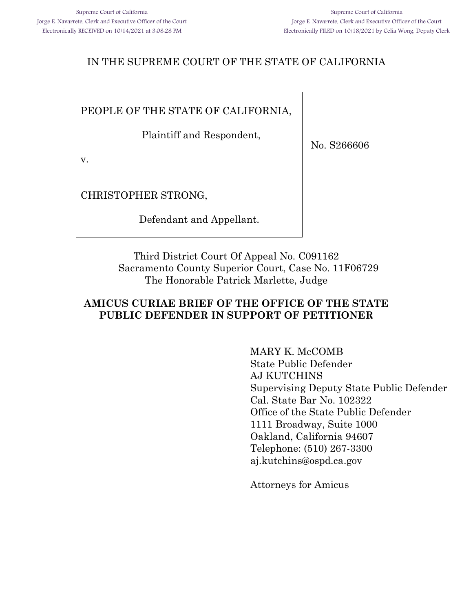### IN THE SUPREME COURT OF THE STATE OF CALIFORNIA

PEOPLE OF THE STATE OF CALIFORNIA,

Plaintiff and Respondent,

No. S266606

v.

CHRISTOPHER STRONG,

Defendant and Appellant.

Third District Court Of Appeal No. C091162 Sacramento County Superior Court, Case No. 11F06729 The Honorable Patrick Marlette, Judge

#### **AMICUS CURIAE BRIEF OF THE OFFICE OF THE STATE PUBLIC DEFENDER IN SUPPORT OF PETITIONER**

MARY K. McCOMB State Public Defender AJ KUTCHINS Supervising Deputy State Public Defender Cal. State Bar No. 102322 Office of the State Public Defender 1111 Broadway, Suite 1000 Oakland, California 94607 Telephone: (510) 267-3300 aj.kutchins@ospd.ca.gov

Attorneys for Amicus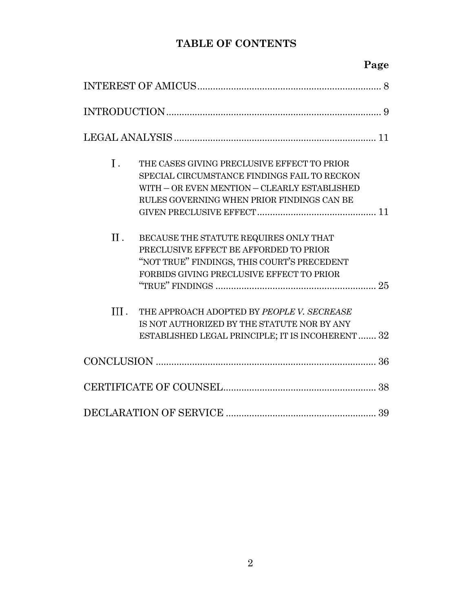### **TABLE OF CONTENTS**

## **Page**

| Ι.   | THE CASES GIVING PRECLUSIVE EFFECT TO PRIOR<br>SPECIAL CIRCUMSTANCE FINDINGS FAIL TO RECKON<br>WITH - OR EVEN MENTION - CLEARLY ESTABLISHED<br>RULES GOVERNING WHEN PRIOR FINDINGS CAN BE |
|------|-------------------------------------------------------------------------------------------------------------------------------------------------------------------------------------------|
| Π.   | BECAUSE THE STATUTE REQUIRES ONLY THAT<br>PRECLUSIVE EFFECT BE AFFORDED TO PRIOR<br>"NOT TRUE" FINDINGS, THIS COURT'S PRECEDENT<br>FORBIDS GIVING PRECLUSIVE EFFECT TO PRIOR              |
| III. | THE APPROACH ADOPTED BY PEOPLE V. SECREASE<br>IS NOT AUTHORIZED BY THE STATUTE NOR BY ANY<br>ESTABLISHED LEGAL PRINCIPLE; IT IS INCOHERENT 32                                             |
|      |                                                                                                                                                                                           |
|      |                                                                                                                                                                                           |
|      |                                                                                                                                                                                           |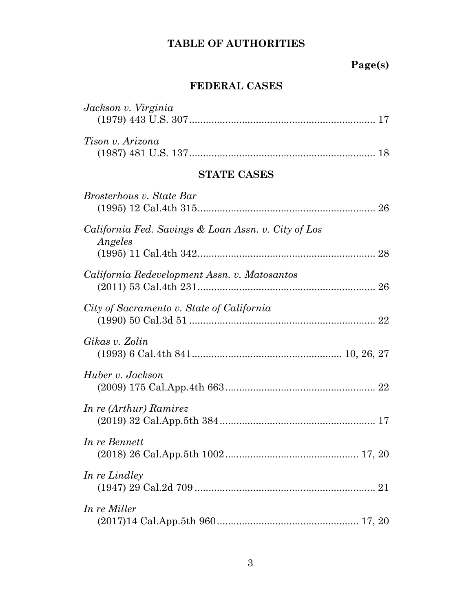# **Page(s)**

### **FEDERAL CASES**

| Jackson v. Virginia                                            |
|----------------------------------------------------------------|
| Tison v. Arizona                                               |
| <b>STATE CASES</b>                                             |
| Brosterhous v. State Bar                                       |
| California Fed. Savings & Loan Assn. v. City of Los<br>Angeles |
| California Redevelopment Assn. v. Matosantos                   |
| City of Sacramento v. State of California                      |
| Gikas v. Zolin                                                 |
| Huber v. Jackson                                               |
| In re (Arthur) Ramirez                                         |
| In re Bennett                                                  |
| In re Lindley                                                  |
| In re Miller                                                   |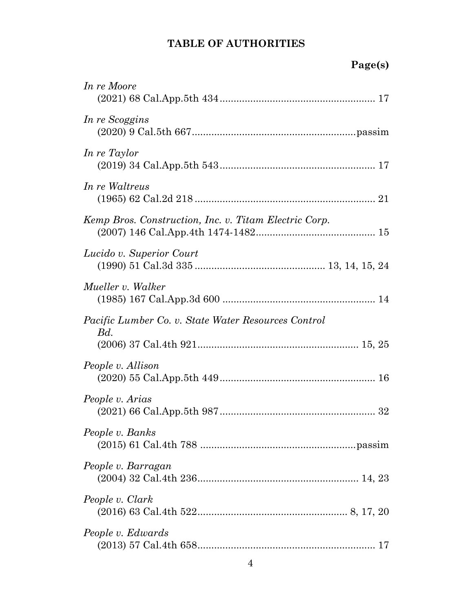# **Page(s)**

| In re Moore                                                |
|------------------------------------------------------------|
| In re Scoggins                                             |
| In re Taylor                                               |
| In re Waltreus                                             |
| Kemp Bros. Construction, Inc. v. Titam Electric Corp.      |
| Lucido v. Superior Court                                   |
| Mueller v. Walker                                          |
| Pacific Lumber Co. v. State Water Resources Control<br>Bd. |
| People v. Allison                                          |
| People v. Arias                                            |
| People v. Banks                                            |
| People v. Barragan                                         |
| People v. Clark                                            |
| People v. Edwards                                          |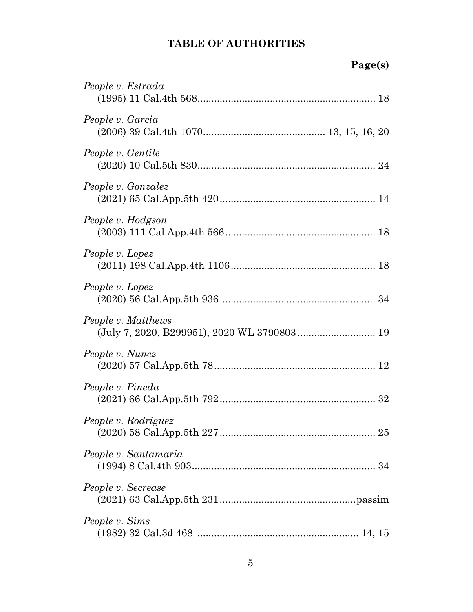| People v. Estrada                                                 |
|-------------------------------------------------------------------|
| People v. Garcia                                                  |
| People v. Gentile                                                 |
| People v. Gonzalez                                                |
| People v. Hodgson                                                 |
| People v. Lopez                                                   |
| People v. Lopez                                                   |
| People v. Matthews<br>(July 7, 2020, B299951), 2020 WL 3790803 19 |
| People v. Nunez                                                   |
| People v. Pineda                                                  |
| People v. Rodriguez                                               |
| People v. Santamaria                                              |
| People v. Secrease                                                |
| People v. Sims                                                    |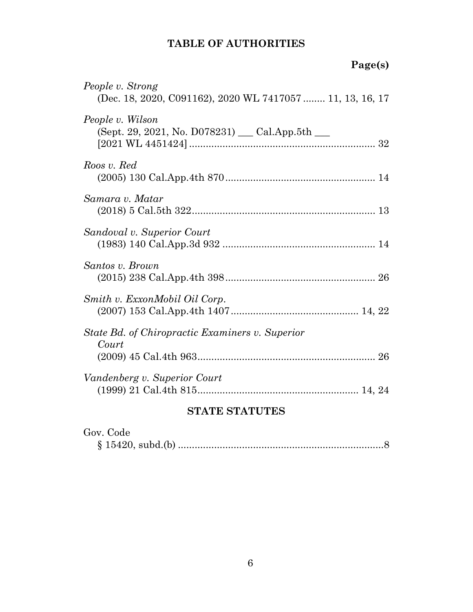# **Page(s)**

| <b>STATE STATUTES</b>                                                         |  |
|-------------------------------------------------------------------------------|--|
| Vandenberg v. Superior Court                                                  |  |
| State Bd. of Chiropractic Examiners v. Superior<br>Court                      |  |
| Smith v. ExxonMobil Oil Corp.                                                 |  |
| Santos v. Brown                                                               |  |
| Sandoval v. Superior Court                                                    |  |
| Samara v. Matar                                                               |  |
| Roos v. Red                                                                   |  |
| People v. Wilson<br>(Sept. 29, 2021, No. D078231) __ Cal.App.5th __           |  |
| People v. Strong<br>(Dec. 18, 2020, C091162), 2020 WL 7417057  11, 13, 16, 17 |  |

| Gov. Code |  |
|-----------|--|
|           |  |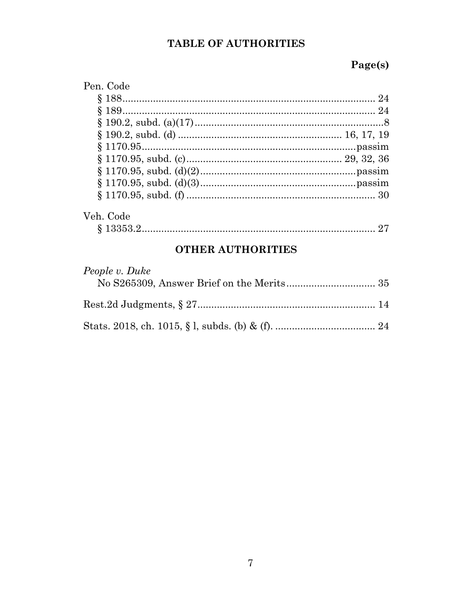# Page(s)

| Pen. Code |  |
|-----------|--|
|           |  |
|           |  |
|           |  |
|           |  |
|           |  |
|           |  |
|           |  |
|           |  |
|           |  |
| Veh. Code |  |

### **OTHER AUTHORITIES**

| People v. Duke |  |
|----------------|--|
|                |  |
|                |  |
|                |  |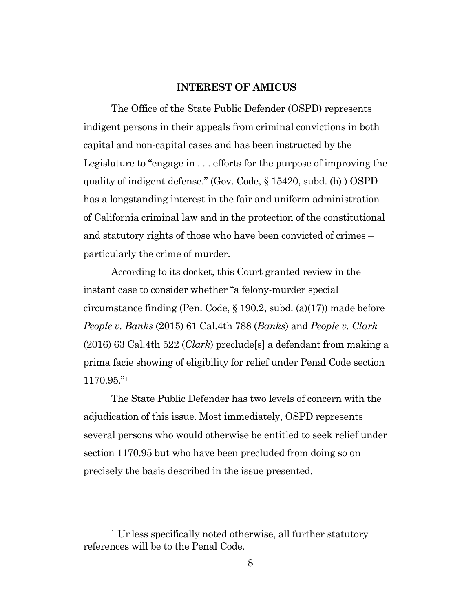#### **INTEREST OF AMICUS**

<span id="page-7-0"></span>The Office of the State Public Defender (OSPD) represents indigent persons in their appeals from criminal convictions in both capital and non-capital cases and has been instructed by the Legislature to "engage in . . . efforts for the purpose of improving the quality of indigent defense." (Gov. Code, § 15420, subd. (b).) OSPD has a longstanding interest in the fair and uniform administration of California criminal law and in the protection of the constitutional and statutory rights of those who have been convicted of crimes – particularly the crime of murder.

According to its docket, this Court granted review in the instant case to consider whether "a felony-murder special circumstance finding (Pen. Code, § 190.2, subd. (a)(17)) made before *People v. Banks* (2015) 61 Cal.4th 788 (*Banks*) and *People v. Clark* (2016) 63 Cal.4th 522 (*Clark*) preclude[s] a defendant from making a prima facie showing of eligibility for relief under Penal Code section 1170.95."[1](#page-7-1)

The State Public Defender has two levels of concern with the adjudication of this issue. Most immediately, OSPD represents several persons who would otherwise be entitled to seek relief under section 1170.95 but who have been precluded from doing so on precisely the basis described in the issue presented.

<span id="page-7-1"></span><sup>&</sup>lt;sup>1</sup> Unless specifically noted otherwise, all further statutory references will be to the Penal Code.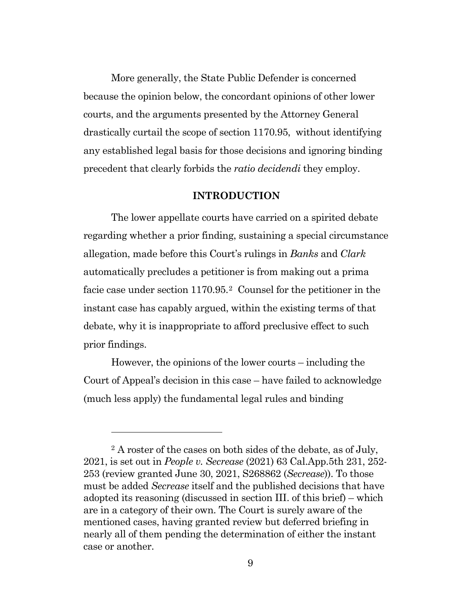More generally, the State Public Defender is concerned because the opinion below, the concordant opinions of other lower courts, and the arguments presented by the Attorney General drastically curtail the scope of section 1170.95, without identifying any established legal basis for those decisions and ignoring binding precedent that clearly forbids the *ratio decidendi* they employ.

#### **INTRODUCTION**

<span id="page-8-0"></span>The lower appellate courts have carried on a spirited debate regarding whether a prior finding, sustaining a special circumstance allegation, made before this Court's rulings in *Banks* and *Clark*  automatically precludes a petitioner is from making out a prima facie case under section 1170.95.[2](#page-8-1) Counsel for the petitioner in the instant case has capably argued, within the existing terms of that debate, why it is inappropriate to afford preclusive effect to such prior findings.

However, the opinions of the lower courts – including the Court of Appeal's decision in this case – have failed to acknowledge (much less apply) the fundamental legal rules and binding

<span id="page-8-1"></span><sup>2</sup> A roster of the cases on both sides of the debate, as of July, 2021, is set out in *People v. Secrease* (2021) 63 Cal.App.5th 231, 252- 253 (review granted June 30, 2021, S268862 (*Secrease*)). To those must be added *Secrease* itself and the published decisions that have adopted its reasoning (discussed in section III. of this brief) – which are in a category of their own. The Court is surely aware of the mentioned cases, having granted review but deferred briefing in nearly all of them pending the determination of either the instant case or another.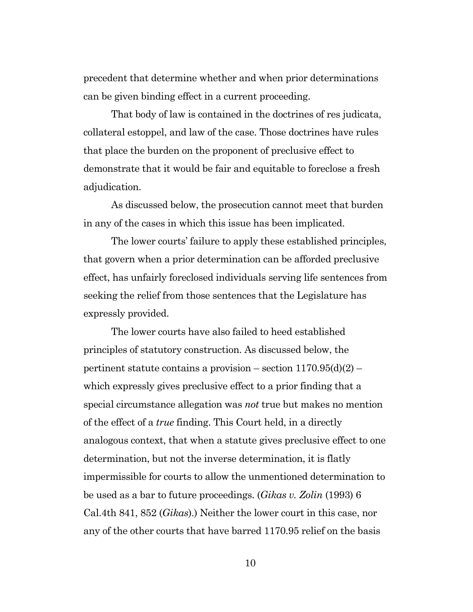precedent that determine whether and when prior determinations can be given binding effect in a current proceeding.

That body of law is contained in the doctrines of res judicata, collateral estoppel, and law of the case. Those doctrines have rules that place the burden on the proponent of preclusive effect to demonstrate that it would be fair and equitable to foreclose a fresh adjudication.

As discussed below, the prosecution cannot meet that burden in any of the cases in which this issue has been implicated.

The lower courts' failure to apply these established principles, that govern when a prior determination can be afforded preclusive effect, has unfairly foreclosed individuals serving life sentences from seeking the relief from those sentences that the Legislature has expressly provided.

The lower courts have also failed to heed established principles of statutory construction. As discussed below, the pertinent statute contains a provision – section  $1170.95(d)(2)$  – which expressly gives preclusive effect to a prior finding that a special circumstance allegation was *not* true but makes no mention of the effect of a *true* finding. This Court held, in a directly analogous context, that when a statute gives preclusive effect to one determination, but not the inverse determination, it is flatly impermissible for courts to allow the unmentioned determination to be used as a bar to future proceedings. (*Gikas v. Zolin* (1993) 6 Cal.4th 841, 852 (*Gikas*).) Neither the lower court in this case, nor any of the other courts that have barred 1170.95 relief on the basis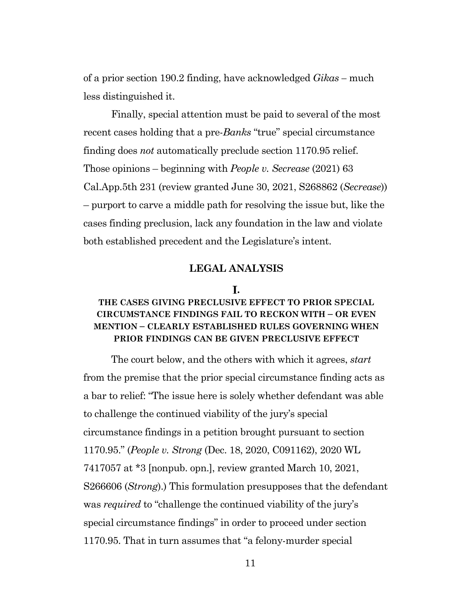of a prior section 190.2 finding, have acknowledged *Gikas –* much less distinguished it.

Finally, special attention must be paid to several of the most recent cases holding that a pre-*Banks* "true" special circumstance finding does *not* automatically preclude section 1170.95 relief. Those opinions – beginning with *People v. Secrease* (2021) 63 Cal.App.5th 231 (review granted June 30, 2021, S268862 (*Secrease*)) – purport to carve a middle path for resolving the issue but, like the cases finding preclusion, lack any foundation in the law and violate both established precedent and the Legislature's intent.

#### **LEGAL ANALYSIS**

#### **.**

#### <span id="page-10-1"></span><span id="page-10-0"></span>**THE CASES GIVING PRECLUSIVE EFFECT TO PRIOR SPECIAL CIRCUMSTANCE FINDINGS FAIL TO RECKON WITH – OR EVEN MENTION – CLEARLY ESTABLISHED RULES GOVERNING WHEN PRIOR FINDINGS CAN BE GIVEN PRECLUSIVE EFFECT**

The court below, and the others with which it agrees, *start*  from the premise that the prior special circumstance finding acts as a bar to relief: "The issue here is solely whether defendant was able to challenge the continued viability of the jury's special circumstance findings in a petition brought pursuant to section 1170.95." (*People v. Strong* (Dec. 18, 2020, C091162), 2020 WL 7417057 at \*3 [nonpub. opn.], review granted March 10, 2021, S266606 (*Strong*).) This formulation presupposes that the defendant was *required* to "challenge the continued viability of the jury's special circumstance findings" in order to proceed under section 1170.95. That in turn assumes that "a felony-murder special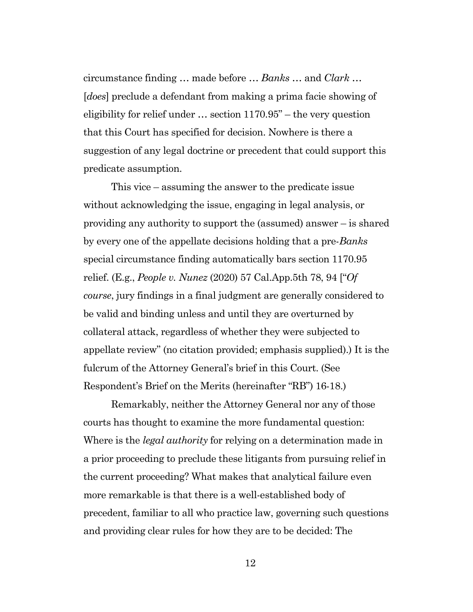circumstance finding … made before … *Banks …* and *Clark …*  [*does*] preclude a defendant from making a prima facie showing of eligibility for relief under … section 1170.95" – the very question that this Court has specified for decision. Nowhere is there a suggestion of any legal doctrine or precedent that could support this predicate assumption.

This vice – assuming the answer to the predicate issue without acknowledging the issue, engaging in legal analysis, or providing any authority to support the (assumed) answer – is shared by every one of the appellate decisions holding that a pre-*Banks* special circumstance finding automatically bars section 1170.95 relief. (E.g., *People v. Nunez* (2020) 57 Cal.App.5th 78, 94 ["*Of course*, jury findings in a final judgment are generally considered to be valid and binding unless and until they are overturned by collateral attack, regardless of whether they were subjected to appellate review" (no citation provided; emphasis supplied).) It is the fulcrum of the Attorney General's brief in this Court. (See Respondent's Brief on the Merits (hereinafter "RB") 16-18.)

Remarkably, neither the Attorney General nor any of those courts has thought to examine the more fundamental question: Where is the *legal authority* for relying on a determination made in a prior proceeding to preclude these litigants from pursuing relief in the current proceeding? What makes that analytical failure even more remarkable is that there is a well-established body of precedent, familiar to all who practice law, governing such questions and providing clear rules for how they are to be decided: The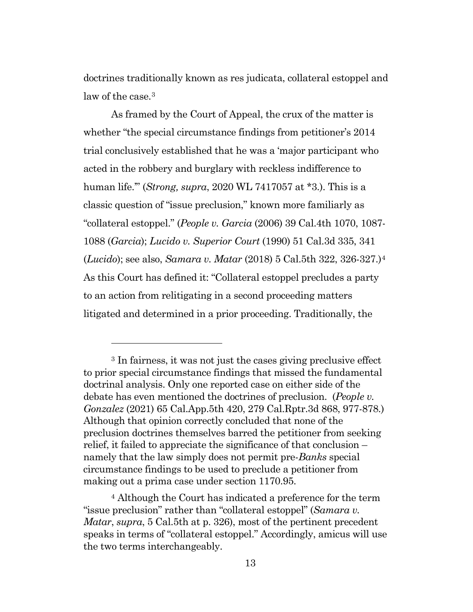doctrines traditionally known as res judicata, collateral estoppel and law of the case.<sup>[3](#page-12-0)</sup>

As framed by the Court of Appeal, the crux of the matter is whether "the special circumstance findings from petitioner's 2014 trial conclusively established that he was a 'major participant who acted in the robbery and burglary with reckless indifference to human life.'" (*Strong, supra*, 2020 WL 7417057 at \*3.). This is a classic question of "issue preclusion," known more familiarly as "collateral estoppel." (*People v. Garcia* (2006) 39 Cal.4th 1070, 1087- 1088 (*Garcia*); *Lucido v. Superior Court* (1990) 51 Cal.3d 335, 341 (*Lucido*); see also, *Samara v. Matar* (2018) 5 Cal.5th 322, 326-327.[\)4](#page-12-1) As this Court has defined it: "Collateral estoppel precludes a party to an action from relitigating in a second proceeding matters litigated and determined in a prior proceeding. Traditionally, the

<span id="page-12-0"></span><sup>3</sup> In fairness, it was not just the cases giving preclusive effect to prior special circumstance findings that missed the fundamental doctrinal analysis. Only one reported case on either side of the debate has even mentioned the doctrines of preclusion. (*People v. Gonzalez* (2021) 65 Cal.App.5th 420, 279 Cal.Rptr.3d 868, 977-878.) Although that opinion correctly concluded that none of the preclusion doctrines themselves barred the petitioner from seeking relief, it failed to appreciate the significance of that conclusion – namely that the law simply does not permit pre-*Banks* special circumstance findings to be used to preclude a petitioner from making out a prima case under section 1170.95.

<span id="page-12-1"></span><sup>4</sup> Although the Court has indicated a preference for the term "issue preclusion" rather than "collateral estoppel" (*Samara v. Matar*, *supra*, 5 Cal.5th at p. 326), most of the pertinent precedent speaks in terms of "collateral estoppel." Accordingly, amicus will use the two terms interchangeably.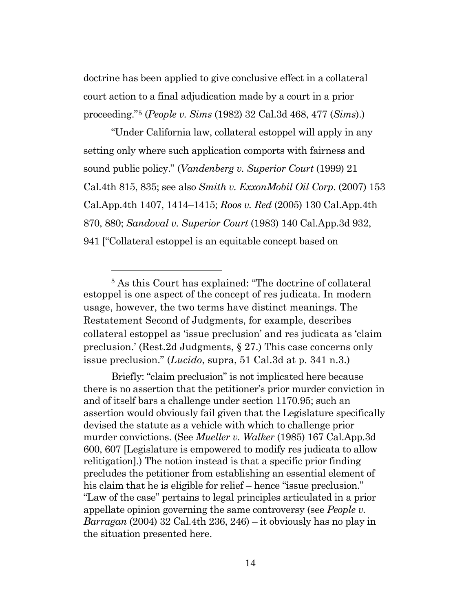doctrine has been applied to give conclusive effect in a collateral court action to a final adjudication made by a court in a prior proceeding."[5](#page-13-0) (*People v. Sims* (1982) 32 Cal.3d 468, 477 (*Sims*).)

"Under California law, collateral estoppel will apply in any setting only where such application comports with fairness and sound public policy." (*Vandenberg v. Superior Court* (1999) 21 Cal.4th 815, 835; see also *Smith v. ExxonMobil Oil Corp*. (2007) 153 Cal.App.4th 1407, 1414–1415; *Roos v. Red* (2005) 130 Cal.App.4th 870, 880; *Sandoval v. Superior Court* (1983) 140 Cal.App.3d 932, 941 ["Collateral estoppel is an equitable concept based on

<span id="page-13-0"></span><sup>5</sup> As this Court has explained: "The doctrine of collateral estoppel is one aspect of the concept of res judicata. In modern usage, however, the two terms have distinct meanings. The Restatement Second of Judgments, for example, describes collateral estoppel as 'issue preclusion' and res judicata as 'claim preclusion.' (Rest.2d Judgments, § 27.) This case concerns only issue preclusion." (*Lucido*, supra, 51 Cal.3d at p. 341 n.3.)

Briefly: "claim preclusion" is not implicated here because there is no assertion that the petitioner's prior murder conviction in and of itself bars a challenge under section 1170.95; such an assertion would obviously fail given that the Legislature specifically devised the statute as a vehicle with which to challenge prior murder convictions. (See *Mueller v. Walker* (1985) 167 Cal.App.3d 600, 607 [Legislature is empowered to modify res judicata to allow relitigation].) The notion instead is that a specific prior finding precludes the petitioner from establishing an essential element of his claim that he is eligible for relief – hence "issue preclusion." "Law of the case" pertains to legal principles articulated in a prior appellate opinion governing the same controversy (see *People v. Barragan* (2004) 32 Cal.4th 236, 246) – it obviously has no play in the situation presented here.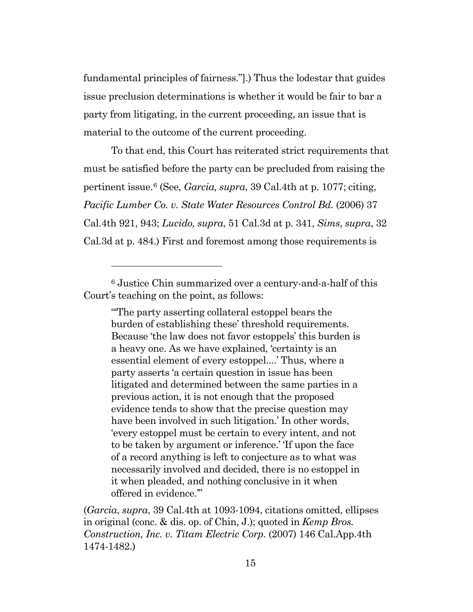fundamental principles of fairness."].) Thus the lodestar that guides issue preclusion determinations is whether it would be fair to bar a party from litigating, in the current proceeding, an issue that is material to the outcome of the current proceeding.

To that end, this Court has reiterated strict requirements that must be satisfied before the party can be precluded from raising the pertinent issue.[6](#page-14-0) (See, *Garcia, supra*, 39 Cal.4th at p. 1077; citing, *Pacific Lumber Co. v. State Water Resources Control Bd.* (2006) 37 Cal.4th 921, 943; *Lucido, supra*, 51 Cal.3d at p. 341, *Sims*, *supra*, 32 Cal.3d at p. 484.) First and foremost among those requirements is

"'The party asserting collateral estoppel bears the burden of establishing these' threshold requirements. Because 'the law does not favor estoppels' this burden is a heavy one. As we have explained, 'certainty is an essential element of every estoppel....' Thus, where a party asserts 'a certain question in issue has been litigated and determined between the same parties in a previous action, it is not enough that the proposed evidence tends to show that the precise question may have been involved in such litigation.' In other words, 'every estoppel must be certain to every intent, and not to be taken by argument or inference.' 'If upon the face of a record anything is left to conjecture as to what was necessarily involved and decided, there is no estoppel in it when pleaded, and nothing conclusive in it when offered in evidence.'"

(*Garcia*, *supra*, 39 Cal.4th at 1093-1094, citations omitted, ellipses in original (conc. & dis. op. of Chin, J.); quoted in *Kemp Bros. Construction, Inc. v. Titam Electric Corp.* (2007) 146 Cal.App.4th 1474-1482.)

<span id="page-14-0"></span> $^6$  Justice Chin summarized over a century-and-a-half of this Court's teaching on the point, as follows: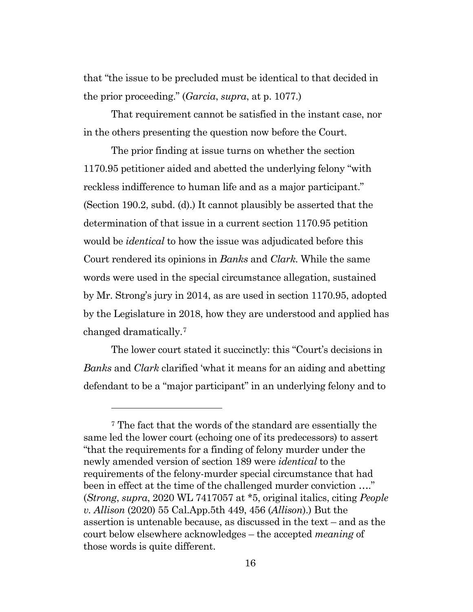that "the issue to be precluded must be identical to that decided in the prior proceeding." (*Garcia*, *supra*, at p. 1077.)

That requirement cannot be satisfied in the instant case, nor in the others presenting the question now before the Court.

The prior finding at issue turns on whether the section 1170.95 petitioner aided and abetted the underlying felony "with reckless indifference to human life and as a major participant." (Section 190.2, subd. (d).) It cannot plausibly be asserted that the determination of that issue in a current section 1170.95 petition would be *identical* to how the issue was adjudicated before this Court rendered its opinions in *Banks* and *Clark.* While the same words were used in the special circumstance allegation, sustained by Mr. Strong's jury in 2014, as are used in section 1170.95, adopted by the Legislature in 2018, how they are understood and applied has changed dramatically.[7](#page-15-0)

The lower court stated it succinctly: this "Court's decisions in *Banks* and *Clark* clarified 'what it means for an aiding and abetting defendant to be a "major participant" in an underlying felony and to

<span id="page-15-0"></span><sup>7</sup> The fact that the words of the standard are essentially the same led the lower court (echoing one of its predecessors) to assert "that the requirements for a finding of felony murder under the newly amended version of section 189 were *identical* to the requirements of the felony-murder special circumstance that had been in effect at the time of the challenged murder conviction ...." (*Strong*, *supra*, 2020 WL 7417057 at \*5, original italics, citing *People v. Allison* (2020) 55 Cal.App.5th 449, 456 (*Allison*).) But the assertion is untenable because, as discussed in the text – and as the court below elsewhere acknowledges – the accepted *meaning* of those words is quite different.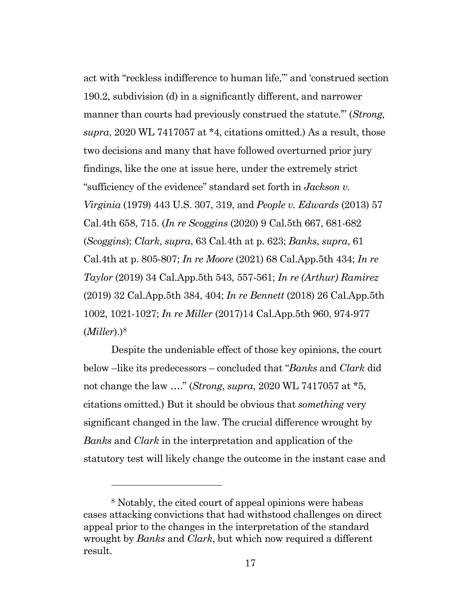act with "reckless indifference to human life,"' and 'construed section 190.2, subdivision (d) in a significantly different, and narrower manner than courts had previously construed the statute.'" (*Strong, supra*, 2020 WL 7417057 at \*4, citations omitted.) As a result, those two decisions and many that have followed overturned prior jury findings, like the one at issue here, under the extremely strict "sufficiency of the evidence" standard set forth in *Jackson v. Virginia* (1979) 443 U.S. 307, 319, and *People v. Edwards* (2013) 57 Cal.4th 658, 715. (*In re Scoggins* (2020) 9 Cal.5th 667, 681-682 (*Scoggins*); *Clark*, *supra*, 63 Cal.4th at p. 623; *Banks*, *supra*, 61 Cal.4th at p. 805-807; *In re Moore* (2021) 68 Cal.App.5th 434; *In re Taylor* (2019) 34 Cal.App.5th 543, 557-561; *In re (Arthur) Ramirez* (2019) 32 Cal.App.5th 384, 404; *In re Bennett* (2018) 26 Cal.App.5th 1002, 1021-1027; *In re Miller* (2017)14 Cal.App.5th 960, 974-977 (*Miller*).[\)8](#page-16-0)

Despite the undeniable effect of those key opinions, the court below –like its predecessors – concluded that "*Banks* and *Clark* did not change the law …." (*Strong*, *supra*, 2020 WL 7417057 at \*5, citations omitted.) But it should be obvious that *something* very significant changed in the law. The crucial difference wrought by *Banks* and *Clark* in the interpretation and application of the statutory test will likely change the outcome in the instant case and

<span id="page-16-0"></span><sup>8</sup> Notably, the cited court of appeal opinions were habeas cases attacking convictions that had withstood challenges on direct appeal prior to the changes in the interpretation of the standard wrought by *Banks* and *Clark*, but which now required a different result.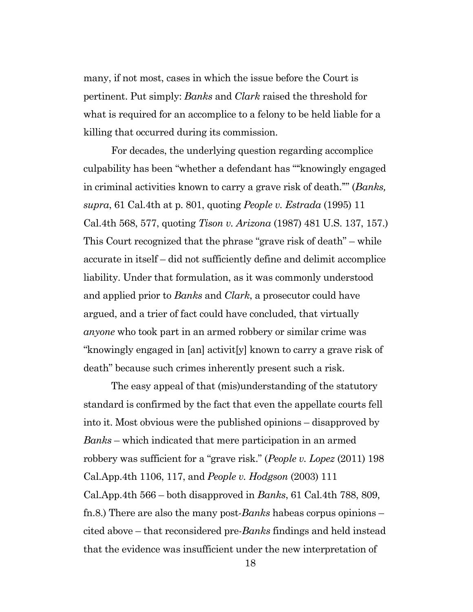many, if not most, cases in which the issue before the Court is pertinent. Put simply: *Banks* and *Clark* raised the threshold for what is required for an accomplice to a felony to be held liable for a killing that occurred during its commission.

For decades, the underlying question regarding accomplice culpability has been "whether a defendant has '"'knowingly engaged in criminal activities known to carry a grave risk of death.'"' (*Banks, supra*, 61 Cal.4th at p. 801, quoting *People v. Estrada* (1995) 11 Cal.4th 568, 577, quoting *Tison v. Arizona* (1987) 481 U.S. 137, 157.) This Court recognized that the phrase "grave risk of death" – while accurate in itself – did not sufficiently define and delimit accomplice liability. Under that formulation, as it was commonly understood and applied prior to *Banks* and *Clark*, a prosecutor could have argued, and a trier of fact could have concluded, that virtually *anyone* who took part in an armed robbery or similar crime was "knowingly engaged in [an] activit[y] known to carry a grave risk of death" because such crimes inherently present such a risk.

The easy appeal of that (mis)understanding of the statutory standard is confirmed by the fact that even the appellate courts fell into it. Most obvious were the published opinions – disapproved by *Banks* – which indicated that mere participation in an armed robbery was sufficient for a "grave risk." (*People v. Lopez* (2011) 198 Cal.App.4th 1106, 117, and *People v. Hodgson* (2003) 111 Cal.App.4th 566 – both disapproved in *Banks*, 61 Cal.4th 788, 809, fn.8.) There are also the many post-*Banks* habeas corpus opinions – cited above – that reconsidered pre-*Banks* findings and held instead that the evidence was insufficient under the new interpretation of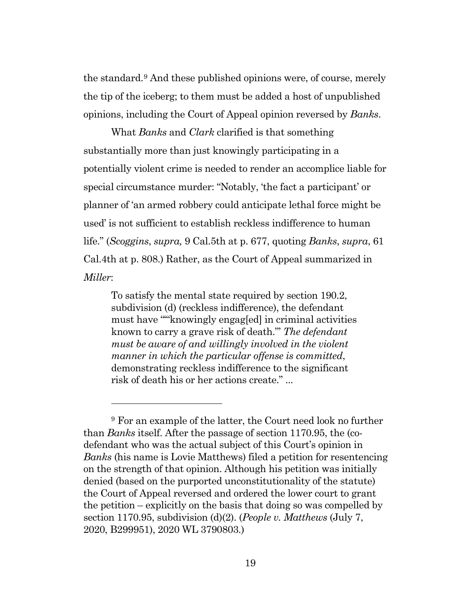the standard.[9](#page-18-0) And these published opinions were, of course, merely the tip of the iceberg; to them must be added a host of unpublished opinions, including the Court of Appeal opinion reversed by *Banks*.

What *Banks* and *Clark* clarified is that something substantially more than just knowingly participating in a potentially violent crime is needed to render an accomplice liable for special circumstance murder: "Notably, 'the fact a participant' or planner of 'an armed robbery could anticipate lethal force might be used' is not sufficient to establish reckless indifference to human life." (*Scoggins*, *supra,* 9 Cal.5th at p. 677, quoting *Banks*, *supra*, 61 Cal.4th at p. 808.) Rather, as the Court of Appeal summarized in *Miller*:

To satisfy the mental state required by section 190.2, subdivision (d) (reckless indifference), the defendant must have "'"knowingly engag[ed] in criminal activities known to carry a grave risk of death."' *The defendant must be aware of and willingly involved in the violent manner in which the particular offense is committed*, demonstrating reckless indifference to the significant risk of death his or her actions create." ...

<span id="page-18-0"></span><sup>&</sup>lt;sup>9</sup> For an example of the latter, the Court need look no further than *Banks* itself. After the passage of section 1170.95, the (codefendant who was the actual subject of this Court's opinion in *Banks* (his name is Lovie Matthews) filed a petition for resentencing on the strength of that opinion. Although his petition was initially denied (based on the purported unconstitutionality of the statute) the Court of Appeal reversed and ordered the lower court to grant the petition – explicitly on the basis that doing so was compelled by section 1170.95, subdivision (d)(2). (*People v. Matthews* (July 7, 2020, B299951), 2020 WL 3790803.)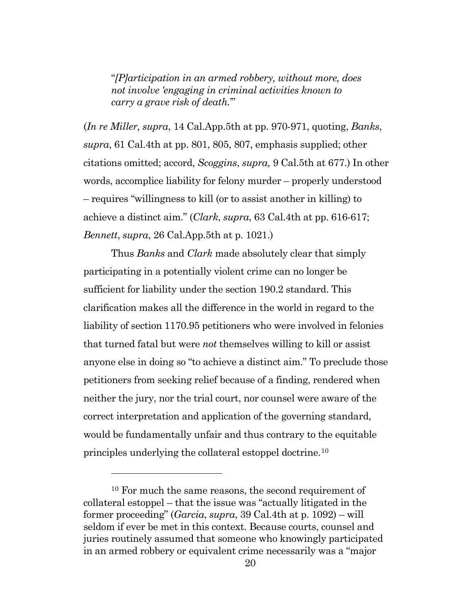"*[P]articipation in an armed robbery, without more, does not involve 'engaging in criminal activities known to carry a grave risk of death.*'"

(*In re Miller, supra*, 14 Cal.App.5th at pp. 970-971, quoting, *Banks*, *supra*, 61 Cal.4th at pp. 801, 805, 807, emphasis supplied; other citations omitted; accord, *Scoggins*, *supra,* 9 Cal.5th at 677.) In other words, accomplice liability for felony murder – properly understood – requires "willingness to kill (or to assist another in killing) to achieve a distinct aim." (*Clark*, *supra*, 63 Cal.4th at pp. 616-617; *Bennett*, *supra*, 26 Cal.App.5th at p. 1021.)

Thus *Banks* and *Clark* made absolutely clear that simply participating in a potentially violent crime can no longer be sufficient for liability under the section 190.2 standard. This clarification makes all the difference in the world in regard to the liability of section 1170.95 petitioners who were involved in felonies that turned fatal but were *not* themselves willing to kill or assist anyone else in doing so "to achieve a distinct aim." To preclude those petitioners from seeking relief because of a finding, rendered when neither the jury, nor the trial court, nor counsel were aware of the correct interpretation and application of the governing standard, would be fundamentally unfair and thus contrary to the equitable principles underlying the collateral estoppel doctrine.[10](#page-19-0)

<span id="page-19-0"></span><sup>10</sup> For much the same reasons, the second requirement of collateral estoppel – that the issue was "actually litigated in the former proceeding" (*Garcia*, *supra*, 39 Cal.4th at p. 1092) – will seldom if ever be met in this context. Because courts, counsel and juries routinely assumed that someone who knowingly participated in an armed robbery or equivalent crime necessarily was a "major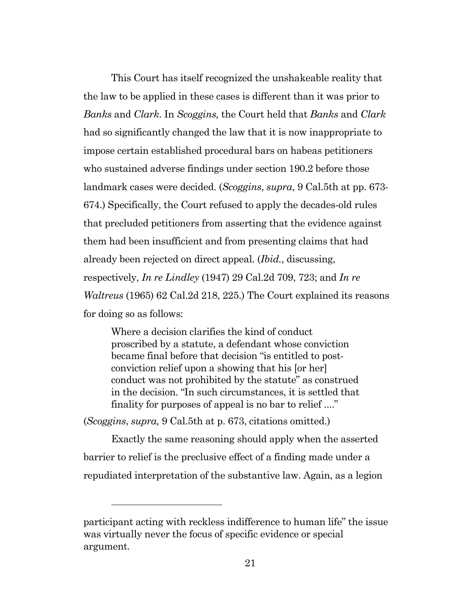This Court has itself recognized the unshakeable reality that the law to be applied in these cases is different than it was prior to *Banks* and *Clark*. In *Scoggins,* the Court held that *Banks* and *Clark* had so significantly changed the law that it is now inappropriate to impose certain established procedural bars on habeas petitioners who sustained adverse findings under section 190.2 before those landmark cases were decided. (*Scoggins*, *supra*, 9 Cal.5th at pp. 673- 674.) Specifically, the Court refused to apply the decades-old rules that precluded petitioners from asserting that the evidence against them had been insufficient and from presenting claims that had already been rejected on direct appeal. (*Ibid.*, discussing, respectively, *In re Lindley* (1947) 29 Cal.2d 709, 723; and *In re Waltreus* (1965) 62 Cal.2d 218, 225.) The Court explained its reasons for doing so as follows:

Where a decision clarifies the kind of conduct proscribed by a statute, a defendant whose conviction became final before that decision "is entitled to postconviction relief upon a showing that his [or her] conduct was not prohibited by the statute" as construed in the decision. "In such circumstances, it is settled that finality for purposes of appeal is no bar to relief ...."

(*Scoggins*, *supra,* 9 Cal.5th at p. 673, citations omitted.)

Exactly the same reasoning should apply when the asserted barrier to relief is the preclusive effect of a finding made under a repudiated interpretation of the substantive law. Again, as a legion

participant acting with reckless indifference to human life" the issue was virtually never the focus of specific evidence or special argument.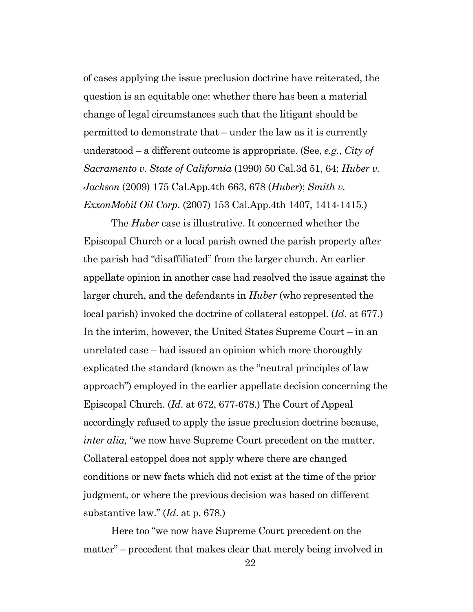of cases applying the issue preclusion doctrine have reiterated, the question is an equitable one: whether there has been a material change of legal circumstances such that the litigant should be permitted to demonstrate that – under the law as it is currently understood – a different outcome is appropriate. (See, *e.g.*, *City of Sacramento v. State of California* (1990) 50 Cal.3d 51, 64; *Huber v. Jackson* (2009) 175 Cal.App.4th 663, 678 (*Huber*); *Smith v. ExxonMobil Oil Corp.* (2007) 153 Cal.App.4th 1407, 1414-1415.)

The *Huber* case is illustrative. It concerned whether the Episcopal Church or a local parish owned the parish property after the parish had "disaffiliated" from the larger church. An earlier appellate opinion in another case had resolved the issue against the larger church, and the defendants in *Huber* (who represented the local parish) invoked the doctrine of collateral estoppel. (*Id*. at 677.) In the interim, however, the United States Supreme Court – in an unrelated case – had issued an opinion which more thoroughly explicated the standard (known as the "neutral principles of law approach") employed in the earlier appellate decision concerning the Episcopal Church. (*Id*. at 672, 677-678.) The Court of Appeal accordingly refused to apply the issue preclusion doctrine because, *inter alia,* "we now have Supreme Court precedent on the matter. Collateral estoppel does not apply where there are changed conditions or new facts which did not exist at the time of the prior judgment, or where the previous decision was based on different substantive law." (*Id*. at p. 678.)

Here too "we now have Supreme Court precedent on the matter" – precedent that makes clear that merely being involved in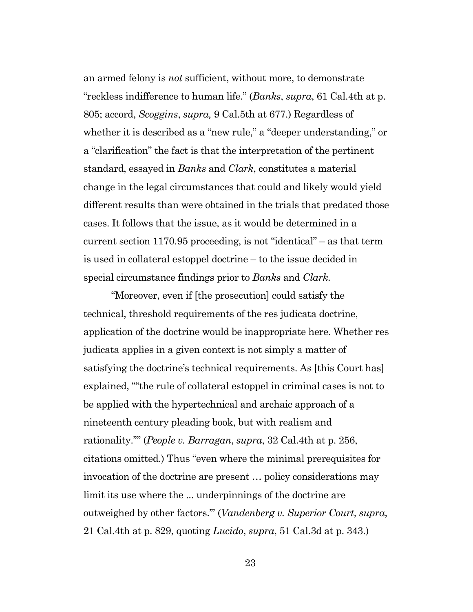an armed felony is *not* sufficient, without more, to demonstrate "reckless indifference to human life." (*Banks*, *supra*, 61 Cal.4th at p. 805; accord, *Scoggins*, *supra,* 9 Cal.5th at 677.) Regardless of whether it is described as a "new rule," a "deeper understanding," or a "clarification" the fact is that the interpretation of the pertinent standard, essayed in *Banks* and *Clark*, constitutes a material change in the legal circumstances that could and likely would yield different results than were obtained in the trials that predated those cases. It follows that the issue, as it would be determined in a current section 1170.95 proceeding, is not "identical" – as that term is used in collateral estoppel doctrine – to the issue decided in special circumstance findings prior to *Banks* and *Clark.*

"Moreover, even if [the prosecution] could satisfy the technical, threshold requirements of the res judicata doctrine, application of the doctrine would be inappropriate here. Whether res judicata applies in a given context is not simply a matter of satisfying the doctrine's technical requirements. As [this Court has] explained, "''the rule of collateral estoppel in criminal cases is not to be applied with the hypertechnical and archaic approach of a nineteenth century pleading book, but with realism and rationality.'"' (*People v. Barragan*, *supra*, 32 Cal.4th at p. 256, citations omitted.) Thus "even where the minimal prerequisites for invocation of the doctrine are present … policy considerations may limit its use where the ... underpinnings of the doctrine are outweighed by other factors.'" (*Vandenberg v. Superior Court*, *supra*, 21 Cal.4th at p. 829, quoting *Lucido*, *supra*, 51 Cal.3d at p. 343.)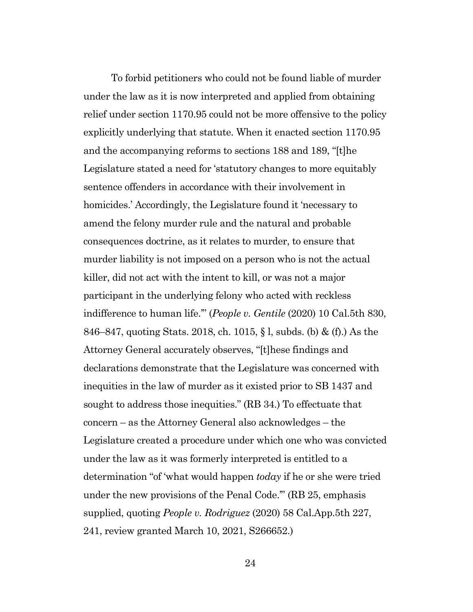To forbid petitioners who could not be found liable of murder under the law as it is now interpreted and applied from obtaining relief under section 1170.95 could not be more offensive to the policy explicitly underlying that statute. When it enacted section 1170.95 and the accompanying reforms to sections 188 and 189, "[t]he Legislature stated a need for 'statutory changes to more equitably sentence offenders in accordance with their involvement in homicides.' Accordingly, the Legislature found it 'necessary to amend the felony murder rule and the natural and probable consequences doctrine, as it relates to murder, to ensure that murder liability is not imposed on a person who is not the actual killer, did not act with the intent to kill, or was not a major participant in the underlying felony who acted with reckless indifference to human life.'" (*People v. Gentile* (2020) 10 Cal.5th 830, 846–847, quoting Stats. 2018, ch. 1015, § l, subds. (b) & (f).) As the Attorney General accurately observes, "[t]hese findings and declarations demonstrate that the Legislature was concerned with inequities in the law of murder as it existed prior to SB 1437 and sought to address those inequities." (RB 34.) To effectuate that concern – as the Attorney General also acknowledges – the Legislature created a procedure under which one who was convicted under the law as it was formerly interpreted is entitled to a determination "of 'what would happen *today* if he or she were tried under the new provisions of the Penal Code.'" (RB 25, emphasis supplied, quoting *People v. Rodriguez* (2020) 58 Cal.App.5th 227, 241, review granted March 10, 2021, S266652.)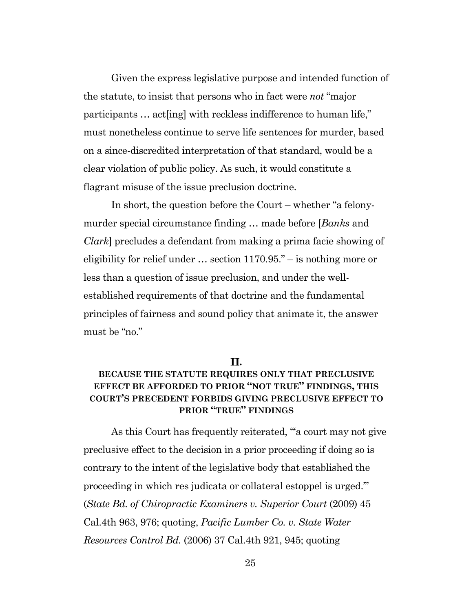Given the express legislative purpose and intended function of the statute, to insist that persons who in fact were *not* "major participants … act[ing] with reckless indifference to human life," must nonetheless continue to serve life sentences for murder, based on a since-discredited interpretation of that standard, would be a clear violation of public policy. As such, it would constitute a flagrant misuse of the issue preclusion doctrine.

In short, the question before the Court – whether "a felonymurder special circumstance finding … made before [*Banks* and *Clark*] precludes a defendant from making a prima facie showing of eligibility for relief under … section 1170.95." – is nothing more or less than a question of issue preclusion, and under the wellestablished requirements of that doctrine and the fundamental principles of fairness and sound policy that animate it, the answer must be "no."

#### **.**

#### <span id="page-24-0"></span>**BECAUSE THE STATUTE REQUIRES ONLY THAT PRECLUSIVE EFFECT BE AFFORDED TO PRIOR "NOT TRUE" FINDINGS, THIS COURT'S PRECEDENT FORBIDS GIVING PRECLUSIVE EFFECT TO PRIOR "TRUE" FINDINGS**

As this Court has frequently reiterated, "'a court may not give preclusive effect to the decision in a prior proceeding if doing so is contrary to the intent of the legislative body that established the proceeding in which res judicata or collateral estoppel is urged.'" (*State Bd. of Chiropractic Examiners v. Superior Court* (2009) 45 Cal.4th 963, 976; quoting, *Pacific Lumber Co. v. State Water Resources Control Bd.* (2006) 37 Cal.4th 921, 945; quoting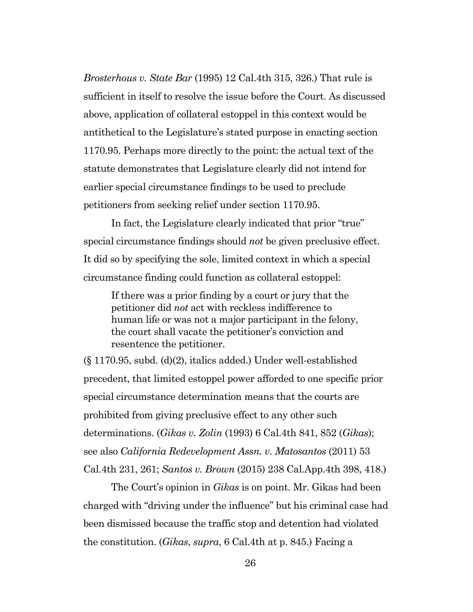*Brosterhous v. State Bar* (1995) 12 Cal.4th 315, 326.) That rule is sufficient in itself to resolve the issue before the Court. As discussed above, application of collateral estoppel in this context would be antithetical to the Legislature's stated purpose in enacting section 1170.95. Perhaps more directly to the point: the actual text of the statute demonstrates that Legislature clearly did not intend for earlier special circumstance findings to be used to preclude petitioners from seeking relief under section 1170.95.

In fact, the Legislature clearly indicated that prior "true" special circumstance findings should *not* be given preclusive effect. It did so by specifying the sole, limited context in which a special circumstance finding could function as collateral estoppel:

If there was a prior finding by a court or jury that the petitioner did *not* act with reckless indifference to human life or was not a major participant in the felony, the court shall vacate the petitioner's conviction and resentence the petitioner.

(§ 1170.95, subd. (d)(2), italics added.) Under well-established precedent, that limited estoppel power afforded to one specific prior special circumstance determination means that the courts are prohibited from giving preclusive effect to any other such determinations. (*Gikas v. Zolin* (1993) 6 Cal.4th 841, 852 (*Gikas*); see also *California Redevelopment Assn. v. Matosantos* (2011) 53 Cal.4th 231, 261; *Santos v. Brown* (2015) 238 Cal.App.4th 398, 418.)

The Court's opinion in *Gikas* is on point. Mr. Gikas had been charged with "driving under the influence" but his criminal case had been dismissed because the traffic stop and detention had violated the constitution. (*Gikas*, *supra*, 6 Cal.4th at p. 845.) Facing a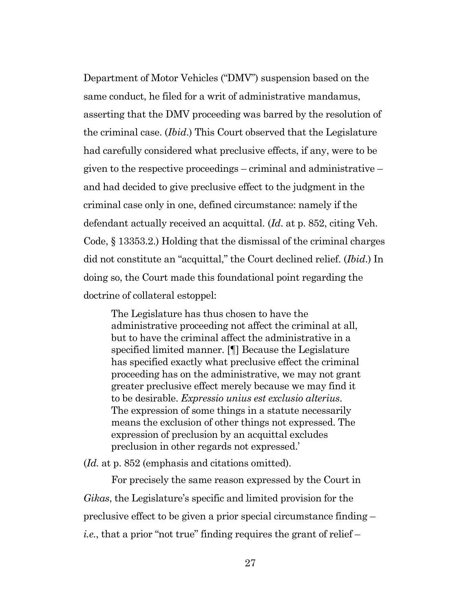Department of Motor Vehicles ("DMV") suspension based on the same conduct, he filed for a writ of administrative mandamus, asserting that the DMV proceeding was barred by the resolution of the criminal case. (*Ibid*.) This Court observed that the Legislature had carefully considered what preclusive effects, if any, were to be given to the respective proceedings – criminal and administrative – and had decided to give preclusive effect to the judgment in the criminal case only in one, defined circumstance: namely if the defendant actually received an acquittal. (*Id*. at p. 852, citing Veh. Code, § 13353.2.) Holding that the dismissal of the criminal charges did not constitute an "acquittal," the Court declined relief. (*Ibid*.) In doing so, the Court made this foundational point regarding the doctrine of collateral estoppel:

The Legislature has thus chosen to have the administrative proceeding not affect the criminal at all, but to have the criminal affect the administrative in a specified limited manner. [¶] Because the Legislature has specified exactly what preclusive effect the criminal proceeding has on the administrative, we may not grant greater preclusive effect merely because we may find it to be desirable. *Expressio unius est exclusio alterius*. The expression of some things in a statute necessarily means the exclusion of other things not expressed. The expression of preclusion by an acquittal excludes preclusion in other regards not expressed.'

(*Id.* at p. 852 (emphasis and citations omitted).

For precisely the same reason expressed by the Court in *Gikas*, the Legislature's specific and limited provision for the preclusive effect to be given a prior special circumstance finding – *i.e.*, that a prior "not true" finding requires the grant of relief –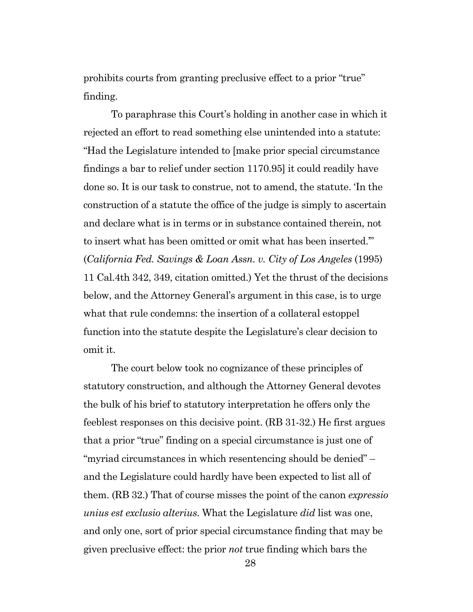prohibits courts from granting preclusive effect to a prior "true" finding.

To paraphrase this Court's holding in another case in which it rejected an effort to read something else unintended into a statute: "Had the Legislature intended to [make prior special circumstance findings a bar to relief under section 1170.95] it could readily have done so. It is our task to construe, not to amend, the statute. 'In the construction of a statute the office of the judge is simply to ascertain and declare what is in terms or in substance contained therein, not to insert what has been omitted or omit what has been inserted.'" (*California Fed. Savings & Loan Assn. v. City of Los Angeles* (1995) 11 Cal.4th 342, 349, citation omitted.) Yet the thrust of the decisions below, and the Attorney General's argument in this case, is to urge what that rule condemns: the insertion of a collateral estoppel function into the statute despite the Legislature's clear decision to omit it.

The court below took no cognizance of these principles of statutory construction, and although the Attorney General devotes the bulk of his brief to statutory interpretation he offers only the feeblest responses on this decisive point. (RB 31-32.) He first argues that a prior "true" finding on a special circumstance is just one of "myriad circumstances in which resentencing should be denied" – and the Legislature could hardly have been expected to list all of them. (RB 32.) That of course misses the point of the canon *expressio unius est exclusio alterius*. What the Legislature *did* list was one, and only one, sort of prior special circumstance finding that may be given preclusive effect: the prior *not* true finding which bars the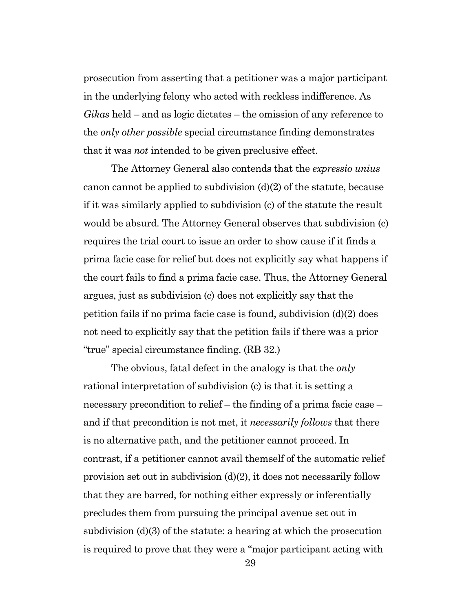prosecution from asserting that a petitioner was a major participant in the underlying felony who acted with reckless indifference. As *Gikas* held – and as logic dictates – the omission of any reference to the *only other possible* special circumstance finding demonstrates that it was *not* intended to be given preclusive effect.

The Attorney General also contends that the *expressio unius*  canon cannot be applied to subdivision  $(d)(2)$  of the statute, because if it was similarly applied to subdivision (c) of the statute the result would be absurd. The Attorney General observes that subdivision (c) requires the trial court to issue an order to show cause if it finds a prima facie case for relief but does not explicitly say what happens if the court fails to find a prima facie case. Thus, the Attorney General argues, just as subdivision (c) does not explicitly say that the petition fails if no prima facie case is found, subdivision (d)(2) does not need to explicitly say that the petition fails if there was a prior "true" special circumstance finding. (RB 32.)

The obvious, fatal defect in the analogy is that the *only* rational interpretation of subdivision (c) is that it is setting a necessary precondition to relief – the finding of a prima facie case – and if that precondition is not met, it *necessarily follows* that there is no alternative path, and the petitioner cannot proceed. In contrast, if a petitioner cannot avail themself of the automatic relief provision set out in subdivision (d)(2), it does not necessarily follow that they are barred, for nothing either expressly or inferentially precludes them from pursuing the principal avenue set out in subdivision (d)(3) of the statute: a hearing at which the prosecution is required to prove that they were a "major participant acting with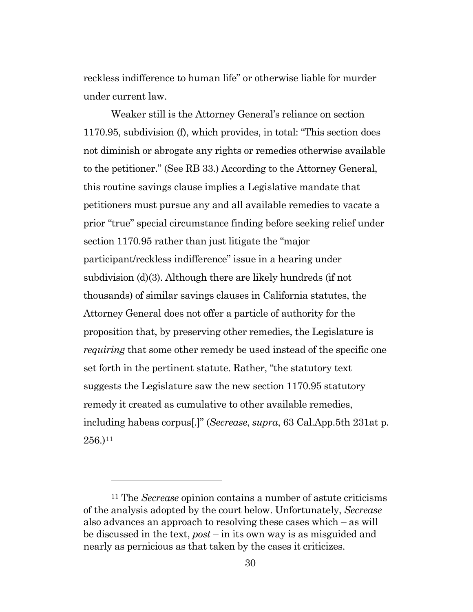reckless indifference to human life" or otherwise liable for murder under current law.

Weaker still is the Attorney General's reliance on section 1170.95, subdivision (f), which provides, in total: "This section does not diminish or abrogate any rights or remedies otherwise available to the petitioner." (See RB 33.) According to the Attorney General, this routine savings clause implies a Legislative mandate that petitioners must pursue any and all available remedies to vacate a prior "true" special circumstance finding before seeking relief under section 1170.95 rather than just litigate the "major participant/reckless indifference" issue in a hearing under subdivision (d)(3). Although there are likely hundreds (if not thousands) of similar savings clauses in California statutes, the Attorney General does not offer a particle of authority for the proposition that, by preserving other remedies, the Legislature is *requiring* that some other remedy be used instead of the specific one set forth in the pertinent statute. Rather, "the statutory text suggests the Legislature saw the new section 1170.95 statutory remedy it created as cumulative to other available remedies, including habeas corpus[.]" (*Secrease*, *supra*, 63 Cal.App.5th 231at p.  $256.$ )<sup>[11](#page-29-0)</sup>

<span id="page-29-0"></span><sup>11</sup> The *Secrease* opinion contains a number of astute criticisms of the analysis adopted by the court below. Unfortunately, *Secrease*  also advances an approach to resolving these cases which – as will be discussed in the text, *post* – in its own way is as misguided and nearly as pernicious as that taken by the cases it criticizes.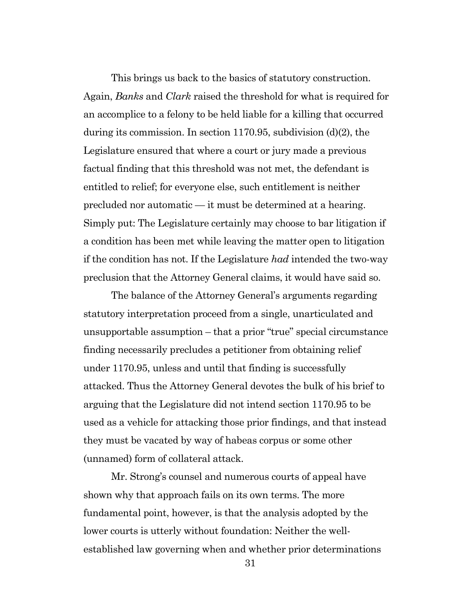This brings us back to the basics of statutory construction. Again, *Banks* and *Clark* raised the threshold for what is required for an accomplice to a felony to be held liable for a killing that occurred during its commission. In section 1170.95, subdivision (d)(2), the Legislature ensured that where a court or jury made a previous factual finding that this threshold was not met, the defendant is entitled to relief; for everyone else, such entitlement is neither precluded nor automatic — it must be determined at a hearing. Simply put: The Legislature certainly may choose to bar litigation if a condition has been met while leaving the matter open to litigation if the condition has not. If the Legislature *had* intended the two-way preclusion that the Attorney General claims, it would have said so.

The balance of the Attorney General's arguments regarding statutory interpretation proceed from a single, unarticulated and unsupportable assumption – that a prior "true" special circumstance finding necessarily precludes a petitioner from obtaining relief under 1170.95, unless and until that finding is successfully attacked. Thus the Attorney General devotes the bulk of his brief to arguing that the Legislature did not intend section 1170.95 to be used as a vehicle for attacking those prior findings, and that instead they must be vacated by way of habeas corpus or some other (unnamed) form of collateral attack.

Mr. Strong's counsel and numerous courts of appeal have shown why that approach fails on its own terms. The more fundamental point, however, is that the analysis adopted by the lower courts is utterly without foundation: Neither the wellestablished law governing when and whether prior determinations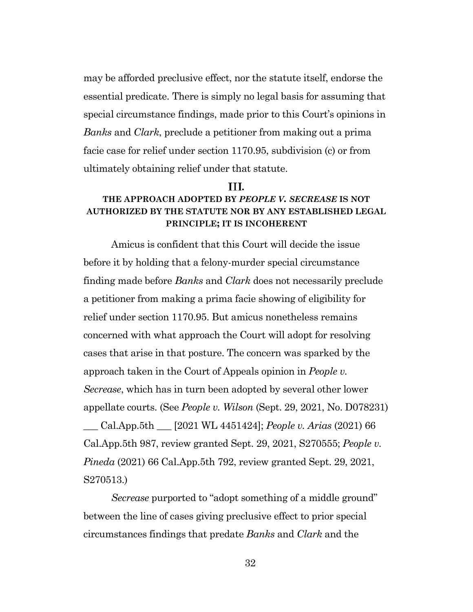may be afforded preclusive effect, nor the statute itself, endorse the essential predicate. There is simply no legal basis for assuming that special circumstance findings, made prior to this Court's opinions in *Banks* and *Clark*, preclude a petitioner from making out a prima facie case for relief under section 1170.95, subdivision (c) or from ultimately obtaining relief under that statute.

#### **.**

#### <span id="page-31-0"></span>**THE APPROACH ADOPTED BY** *PEOPLE V. SECREASE* **IS NOT AUTHORIZED BY THE STATUTE NOR BY ANY ESTABLISHED LEGAL PRINCIPLE; IT IS INCOHERENT**

Amicus is confident that this Court will decide the issue before it by holding that a felony-murder special circumstance finding made before *Banks* and *Clark* does not necessarily preclude a petitioner from making a prima facie showing of eligibility for relief under section 1170.95. But amicus nonetheless remains concerned with what approach the Court will adopt for resolving cases that arise in that posture. The concern was sparked by the approach taken in the Court of Appeals opinion in *People v. Secrease*, which has in turn been adopted by several other lower appellate courts. (See *People v. Wilson* (Sept. 29, 2021, No. D078231) \_\_\_ Cal.App.5th \_\_\_ [2021 WL 4451424]; *People v. Arias* (2021) 66 Cal.App.5th 987, review granted Sept. 29, 2021, S270555; *People v. Pineda* (2021) 66 Cal.App.5th 792, review granted Sept. 29, 2021, S270513.)

*Secrease* purported to "adopt something of a middle ground" between the line of cases giving preclusive effect to prior special circumstances findings that predate *Banks* and *Clark* and the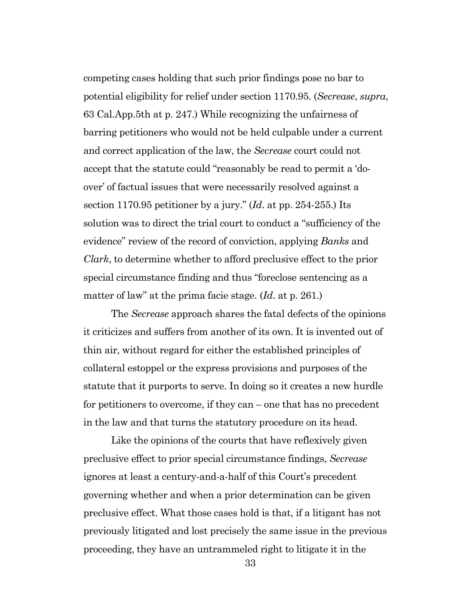competing cases holding that such prior findings pose no bar to potential eligibility for relief under section 1170.95. (*Secrease*, *supra*, 63 Cal.App.5th at p. 247.) While recognizing the unfairness of barring petitioners who would not be held culpable under a current and correct application of the law, the *Secrease* court could not accept that the statute could "reasonably be read to permit a 'doover' of factual issues that were necessarily resolved against a section 1170.95 petitioner by a jury." (*Id*. at pp. 254-255.) Its solution was to direct the trial court to conduct a "sufficiency of the evidence" review of the record of conviction, applying *Banks* and *Clark*, to determine whether to afford preclusive effect to the prior special circumstance finding and thus "foreclose sentencing as a matter of law" at the prima facie stage. (*Id*. at p. 261.)

The *Secrease* approach shares the fatal defects of the opinions it criticizes and suffers from another of its own. It is invented out of thin air, without regard for either the established principles of collateral estoppel or the express provisions and purposes of the statute that it purports to serve. In doing so it creates a new hurdle for petitioners to overcome, if they can – one that has no precedent in the law and that turns the statutory procedure on its head.

Like the opinions of the courts that have reflexively given preclusive effect to prior special circumstance findings, *Secrease* ignores at least a century-and-a-half of this Court's precedent governing whether and when a prior determination can be given preclusive effect. What those cases hold is that, if a litigant has not previously litigated and lost precisely the same issue in the previous proceeding, they have an untrammeled right to litigate it in the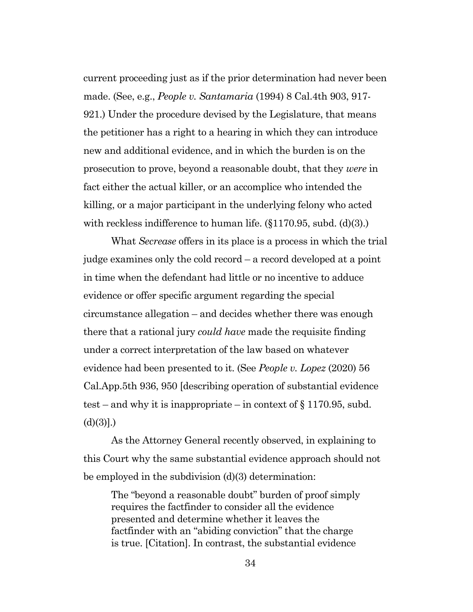current proceeding just as if the prior determination had never been made. (See, e.g., *People v. Santamaria* (1994) 8 Cal.4th 903, 917- 921.) Under the procedure devised by the Legislature, that means the petitioner has a right to a hearing in which they can introduce new and additional evidence, and in which the burden is on the prosecution to prove, beyond a reasonable doubt, that they *were* in fact either the actual killer, or an accomplice who intended the killing, or a major participant in the underlying felony who acted with reckless indifference to human life. (§1170.95, subd. (d)(3).)

What *Secrease* offers in its place is a process in which the trial judge examines only the cold record – a record developed at a point in time when the defendant had little or no incentive to adduce evidence or offer specific argument regarding the special circumstance allegation – and decides whether there was enough there that a rational jury *could have* made the requisite finding under a correct interpretation of the law based on whatever evidence had been presented to it. (See *People v. Lopez* (2020) 56 Cal.App.5th 936, 950 [describing operation of substantial evidence test – and why it is inappropriate – in context of  $\S 1170.95$ , subd.  $(d)(3)]$ .)

As the Attorney General recently observed, in explaining to this Court why the same substantial evidence approach should not be employed in the subdivision (d)(3) determination:

The "beyond a reasonable doubt" burden of proof simply requires the factfinder to consider all the evidence presented and determine whether it leaves the factfinder with an "abiding conviction" that the charge is true. [Citation]. In contrast, the substantial evidence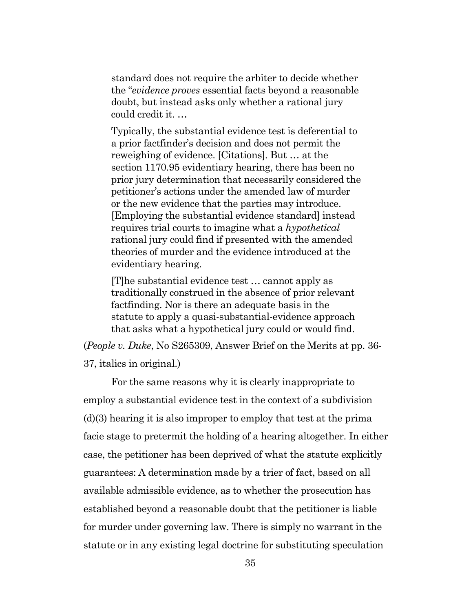standard does not require the arbiter to decide whether the "*evidence proves* essential facts beyond a reasonable doubt, but instead asks only whether a rational jury could credit it. …

Typically, the substantial evidence test is deferential to a prior factfinder's decision and does not permit the reweighing of evidence. [Citations]. But … at the section 1170.95 evidentiary hearing, there has been no prior jury determination that necessarily considered the petitioner's actions under the amended law of murder or the new evidence that the parties may introduce. [Employing the substantial evidence standard] instead requires trial courts to imagine what a *hypothetical* rational jury could find if presented with the amended theories of murder and the evidence introduced at the evidentiary hearing.

[T]he substantial evidence test … cannot apply as traditionally construed in the absence of prior relevant factfinding. Nor is there an adequate basis in the statute to apply a quasi-substantial-evidence approach that asks what a hypothetical jury could or would find.

(*People v. Duke*, No S265309, Answer Brief on the Merits at pp. 36- 37, italics in original.)

For the same reasons why it is clearly inappropriate to employ a substantial evidence test in the context of a subdivision (d)(3) hearing it is also improper to employ that test at the prima facie stage to pretermit the holding of a hearing altogether. In either case, the petitioner has been deprived of what the statute explicitly guarantees: A determination made by a trier of fact, based on all available admissible evidence, as to whether the prosecution has established beyond a reasonable doubt that the petitioner is liable for murder under governing law. There is simply no warrant in the statute or in any existing legal doctrine for substituting speculation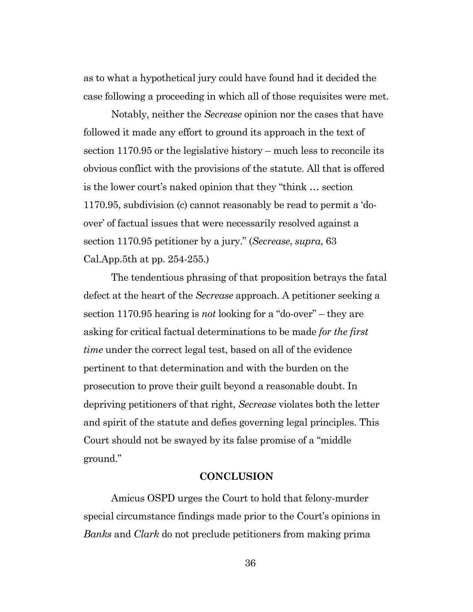as to what a hypothetical jury could have found had it decided the case following a proceeding in which all of those requisites were met.

Notably, neither the *Secrease* opinion nor the cases that have followed it made any effort to ground its approach in the text of section 1170.95 or the legislative history – much less to reconcile its obvious conflict with the provisions of the statute. All that is offered is the lower court's naked opinion that they "think … section 1170.95, subdivision (c) cannot reasonably be read to permit a 'doover' of factual issues that were necessarily resolved against a section 1170.95 petitioner by a jury." (*Secrease*, *supra*, 63 Cal.App.5th at pp. 254-255.)

The tendentious phrasing of that proposition betrays the fatal defect at the heart of the *Secrease* approach. A petitioner seeking a section 1170.95 hearing is *not* looking for a "do-over" – they are asking for critical factual determinations to be made *for the first time* under the correct legal test, based on all of the evidence pertinent to that determination and with the burden on the prosecution to prove their guilt beyond a reasonable doubt. In depriving petitioners of that right, *Secrease* violates both the letter and spirit of the statute and defies governing legal principles. This Court should not be swayed by its false promise of a "middle ground."

#### **CONCLUSION**

<span id="page-35-0"></span>Amicus OSPD urges the Court to hold that felony-murder special circumstance findings made prior to the Court's opinions in *Banks* and *Clark* do not preclude petitioners from making prima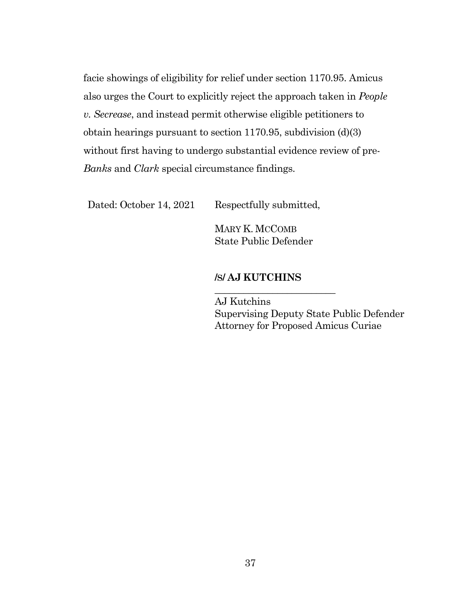facie showings of eligibility for relief under section 1170.95. Amicus also urges the Court to explicitly reject the approach taken in *People v. Secrease*, and instead permit otherwise eligible petitioners to obtain hearings pursuant to section 1170.95, subdivision (d)(3) without first having to undergo substantial evidence review of pre-*Banks* and *Clark* special circumstance findings.

Dated: October 14, 2021 Respectfully submitted,

MARY K. MCCOMB State Public Defender

#### **/S/ AJ KUTCHINS**

\_\_\_\_\_\_\_\_\_\_\_\_\_\_\_\_\_\_\_\_\_\_\_\_\_

AJ Kutchins Supervising Deputy State Public Defender Attorney for Proposed Amicus Curiae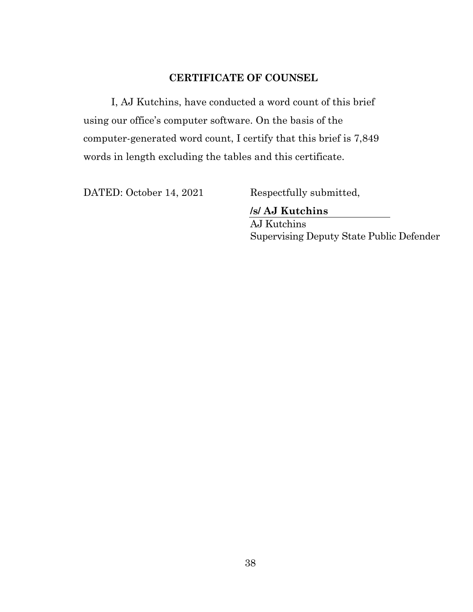### <span id="page-37-0"></span>**CERTIFICATE OF COUNSEL**

I, AJ Kutchins, have conducted a word count of this brief using our office's computer software. On the basis of the computer-generated word count, I certify that this brief is 7,849 words in length excluding the tables and this certificate.

DATED: October 14, 2021 Respectfully submitted,

**/s/ AJ Kutchins**

AJ Kutchins Supervising Deputy State Public Defender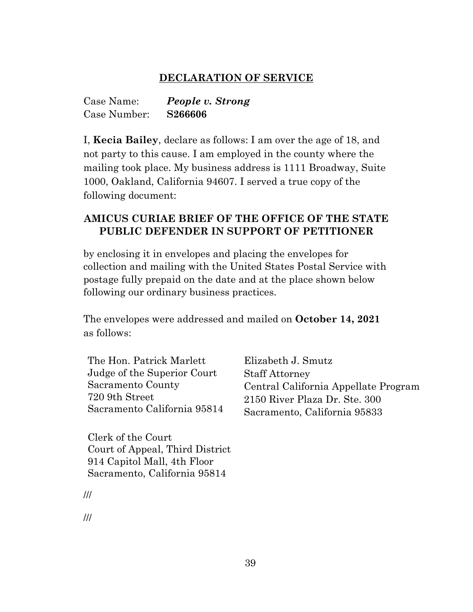#### **DECLARATION OF SERVICE**

<span id="page-38-0"></span>

| Case Name:   | People v. Strong |
|--------------|------------------|
| Case Number: | S266606          |

I, **Kecia Bailey**, declare as follows: I am over the age of 18, and not party to this cause. I am employed in the county where the mailing took place. My business address is 1111 Broadway, Suite 1000, Oakland, California 94607. I served a true copy of the following document:

### **AMICUS CURIAE BRIEF OF THE OFFICE OF THE STATE PUBLIC DEFENDER IN SUPPORT OF PETITIONER**

by enclosing it in envelopes and placing the envelopes for collection and mailing with the United States Postal Service with postage fully prepaid on the date and at the place shown below following our ordinary business practices.

The envelopes were addressed and mailed on **October 14, 2021** as follows:

The Hon. Patrick Marlett Judge of the Superior Court Sacramento County 720 9th Street Sacramento California 95814

Clerk of the Court Court of Appeal, Third District 914 Capitol Mall, 4th Floor Sacramento, California 95814

Elizabeth J. Smutz Staff Attorney Central California Appellate Program 2150 River Plaza Dr. Ste. 300 Sacramento, California 95833

///

///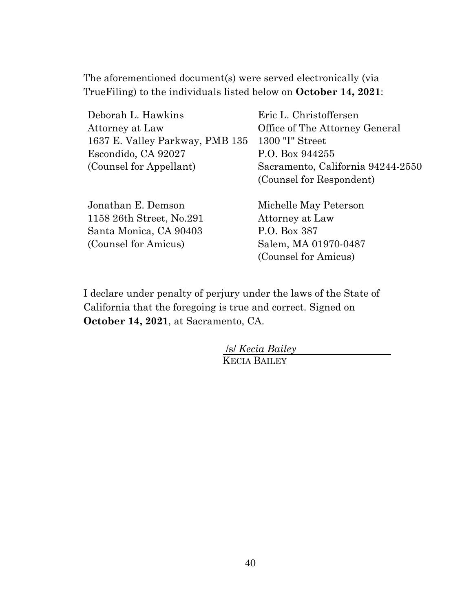The aforementioned document(s) were served electronically (via TrueFiling) to the individuals listed below on **October 14, 2021**:

| Deborah L. Hawkins              | Eric L. Christoffersen            |
|---------------------------------|-----------------------------------|
| Attorney at Law                 | Office of The Attorney General    |
| 1637 E. Valley Parkway, PMB 135 | 1300 "I" Street                   |
| Escondido, CA 92027             | P.O. Box 944255                   |
| (Counsel for Appellant)         | Sacramento, California 94244-2550 |
|                                 | (Counsel for Respondent)          |
| Jonathan E. Demson              | Michelle May Peterson             |
| 1158 26th Street, No.291        | Attorney at Law                   |
| Santa Monica, CA 90403          | P.O. Box 387                      |
| (Counsel for Amicus)            | Salem, MA 01970-0487              |

(Counsel for Amicus)

I declare under penalty of perjury under the laws of the State of California that the foregoing is true and correct. Signed on **October 14, 2021**, at Sacramento, CA.

> /s/ *Kecia Bailey* KECIA BAILEY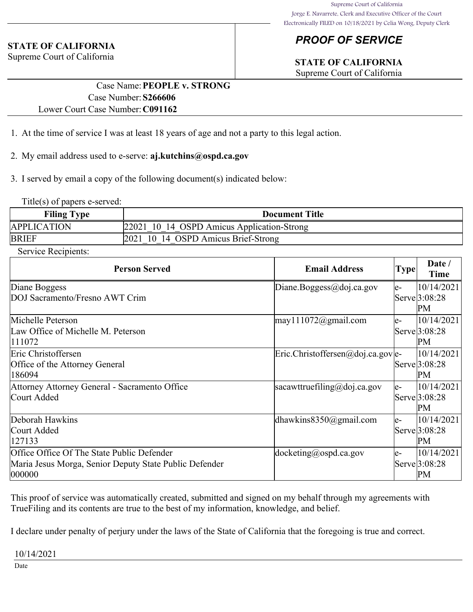### *PROOF OF SERVICE*

# **STATE OF CALIFORNIA**

Supreme Court of California

### **STATE OF CALIFORNIA**

Supreme Court of California

#### Case Name:**PEOPLE v. STRONG** Case Number:**S266606** Lower Court Case Number:**C091162**

- 1. At the time of service I was at least 18 years of age and not a party to this legal action.
- 2. My email address used to e-serve: **aj.kutchins@ospd.ca.gov**
- 3. I served by email a copy of the following document(s) indicated below:

Title(s) of papers e-served:

| <b>Filing Type</b> | <b>Document Title</b>                      |
|--------------------|--------------------------------------------|
| <b>APPLICATION</b> | 22021 10 14 OSPD Amicus Application-Strong |
| <b>BRIEF</b>       | 2021 10 14 OSPD Amicus Brief-Strong        |

Service Recipients:

| <b>Person Served</b>                                   | <b>Email Address</b>                                        | <b>Type</b> | Date /<br>Time             |
|--------------------------------------------------------|-------------------------------------------------------------|-------------|----------------------------|
| Diane Boggess                                          | Diane.Boggess@doj.ca.gov                                    | le-         | 10/14/2021                 |
| DOJ Sacramento/Fresno AWT Crim                         |                                                             |             | Serve <sup>[3:08:28]</sup> |
|                                                        |                                                             |             | PМ                         |
| Michelle Peterson                                      | $\text{may} 111072$ @gmail.com                              | le-         | 10/14/2021                 |
| Law Office of Michelle M. Peterson                     |                                                             |             | Serve 3:08:28              |
| 111072                                                 |                                                             |             | PM                         |
| Eric Christoffersen                                    | $\text{Eric.Christoffersen} @ \text{doj.ca.gov} \text{le-}$ |             | 10/14/2021                 |
| Office of the Attorney General                         |                                                             |             | Serve <sup>[3:08:28]</sup> |
| 186094                                                 |                                                             |             | PM                         |
| Attorney Attorney General - Sacramento Office          | sacawttruefiling@doj.ca.gov                                 | le-         | 10/14/2021                 |
| Court Added                                            |                                                             |             | Serve 3:08:28              |
|                                                        |                                                             |             | PM                         |
| Deborah Hawkins                                        | dhawkins $8350$ @gmail.com                                  | le-         | 10/14/2021                 |
| Court Added                                            |                                                             |             | Serve 3:08:28              |
| 127133                                                 |                                                             |             | PM                         |
| Office Office Of The State Public Defender             | $ $ docketing@ospd.ca.gov                                   | le-         | 10/14/2021                 |
| Maria Jesus Morga, Senior Deputy State Public Defender |                                                             |             | Serve 3:08:28              |
| 000000                                                 |                                                             |             | PM                         |

This proof of service was automatically created, submitted and signed on my behalf through my agreements with TrueFiling and its contents are true to the best of my information, knowledge, and belief.

I declare under penalty of perjury under the laws of the State of California that the foregoing is true and correct.

10/14/2021